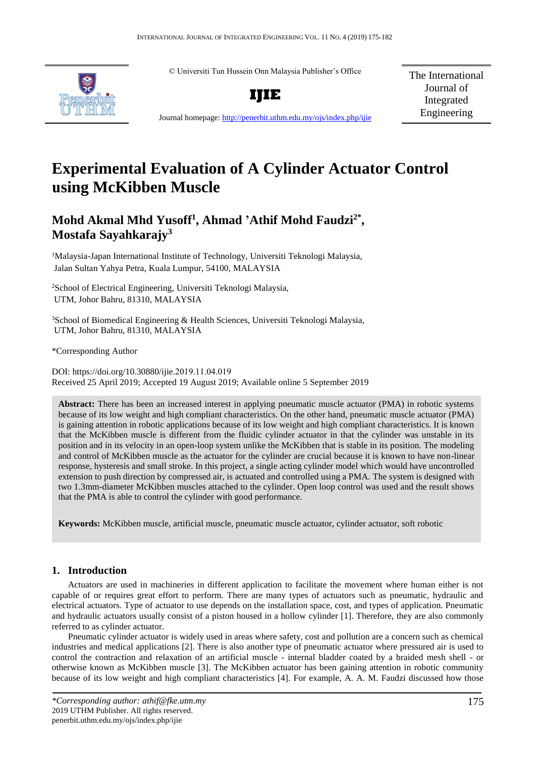© Universiti Tun Hussein Onn Malaysia Publisher's Office



**IJIE**

The International Journal of Integrated Engineering

Journal homepage:<http://penerbit.uthm.edu.my/ojs/index.php/ijie>

# **Experimental Evaluation of A Cylinder Actuator Control using McKibben Muscle**

# **Mohd Akmal Mhd Yusoff<sup>1</sup> , Ahmad 'Athif Mohd Faudzi2\* , Mostafa Sayahkarajy<sup>3</sup>**

<sup>1</sup>Malaysia-Japan International Institute of Technology, Universiti Teknologi Malaysia, Jalan Sultan Yahya Petra, Kuala Lumpur, 54100, MALAYSIA

<sup>2</sup>School of Electrical Engineering, Universiti Teknologi Malaysia, UTM, Johor Bahru, 81310, MALAYSIA

<sup>3</sup>School of Biomedical Engineering & Health Sciences, Universiti Teknologi Malaysia, UTM, Johor Bahru, 81310, MALAYSIA

\*Corresponding Author

DOI: https://doi.org/10.30880/ijie.2019.11.04.019 Received 25 April 2019; Accepted 19 August 2019; Available online 5 September 2019

**Abstract:** There has been an increased interest in applying pneumatic muscle actuator (PMA) in robotic systems because of its low weight and high compliant characteristics. On the other hand, pneumatic muscle actuator (PMA) is gaining attention in robotic applications because of its low weight and high compliant characteristics. It is known that the McKibben muscle is different from the fluidic cylinder actuator in that the cylinder was unstable in its position and in its velocity in an open-loop system unlike the McKibben that is stable in its position. The modeling and control of McKibben muscle as the actuator for the cylinder are crucial because it is known to have non-linear response, hysteresis and small stroke. In this project, a single acting cylinder model which would have uncontrolled extension to push direction by compressed air, is actuated and controlled using a PMA. The system is designed with two 1.3mm-diameter McKibben muscles attached to the cylinder. Open loop control was used and the result shows that the PMA is able to control the cylinder with good performance.

**Keywords:** McKibben muscle, artificial muscle, pneumatic muscle actuator, cylinder actuator, soft robotic

# **1. Introduction**

Actuators are used in machineries in different application to facilitate the movement where human either is not capable of or requires great effort to perform. There are many types of actuators such as pneumatic, hydraulic and electrical actuators. Type of actuator to use depends on the installation space, cost, and types of application. Pneumatic and hydraulic actuators usually consist of a piston housed in a hollow cylinder [1]. Therefore, they are also commonly referred to as cylinder actuator.

Pneumatic cylinder actuator is widely used in areas where safety, cost and pollution are a concern such as chemical industries and medical applications [2]. There is also another type of pneumatic actuator where pressured air is used to control the contraction and relaxation of an artificial muscle - internal bladder coated by a braided mesh shell - or otherwise known as McKibben muscle [3]. The McKibben actuator has been gaining attention in robotic community because of its low weight and high compliant characteristics [4]. For example, A. A. M. Faudzi discussed how those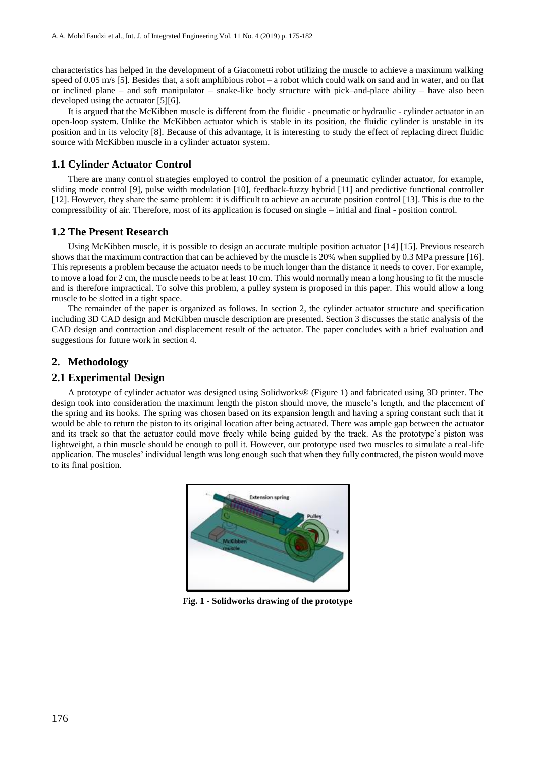characteristics has helped in the development of a Giacometti robot utilizing the muscle to achieve a maximum walking speed of  $0.05$  m/s [5]. Besides that, a soft amphibious robot – a robot which could walk on sand and in water, and on flat or inclined plane – and soft manipulator – snake-like body structure with pick–and-place ability – have also been developed using the actuator [5][6].

It is argued that the McKibben muscle is different from the fluidic - pneumatic or hydraulic - cylinder actuator in an open-loop system. Unlike the McKibben actuator which is stable in its position, the fluidic cylinder is unstable in its position and in its velocity [8]. Because of this advantage, it is interesting to study the effect of replacing direct fluidic source with McKibben muscle in a cylinder actuator system.

# **1.1 Cylinder Actuator Control**

There are many control strategies employed to control the position of a pneumatic cylinder actuator, for example, sliding mode control [9], pulse width modulation [10], feedback-fuzzy hybrid [11] and predictive functional controller [12]. However, they share the same problem: it is difficult to achieve an accurate position control [13]. This is due to the compressibility of air. Therefore, most of its application is focused on single – initial and final - position control.

# **1.2 The Present Research**

Using McKibben muscle, it is possible to design an accurate multiple position actuator [14] [15]. Previous research shows that the maximum contraction that can be achieved by the muscle is 20% when supplied by 0.3 MPa pressure [16]. This represents a problem because the actuator needs to be much longer than the distance it needs to cover. For example, to move a load for 2 cm, the muscle needs to be at least 10 cm. This would normally mean a long housing to fit the muscle and is therefore impractical. To solve this problem, a pulley system is proposed in this paper. This would allow a long muscle to be slotted in a tight space.

The remainder of the paper is organized as follows. In section 2, the cylinder actuator structure and specification including 3D CAD design and McKibben muscle description are presented. Section 3 discusses the static analysis of the CAD design and contraction and displacement result of the actuator. The paper concludes with a brief evaluation and suggestions for future work in section 4.

# **2. Methodology**

### **2.1 Experimental Design**

A prototype of cylinder actuator was designed using Solidworks® (Figure 1) and fabricated using 3D printer. The design took into consideration the maximum length the piston should move, the muscle's length, and the placement of the spring and its hooks. The spring was chosen based on its expansion length and having a spring constant such that it would be able to return the piston to its original location after being actuated. There was ample gap between the actuator and its track so that the actuator could move freely while being guided by the track. As the prototype's piston was lightweight, a thin muscle should be enough to pull it. However, our prototype used two muscles to simulate a real-life application. The muscles' individual length was long enough such that when they fully contracted, the piston would move to its final position.



**Fig. 1 - Solidworks drawing of the prototype**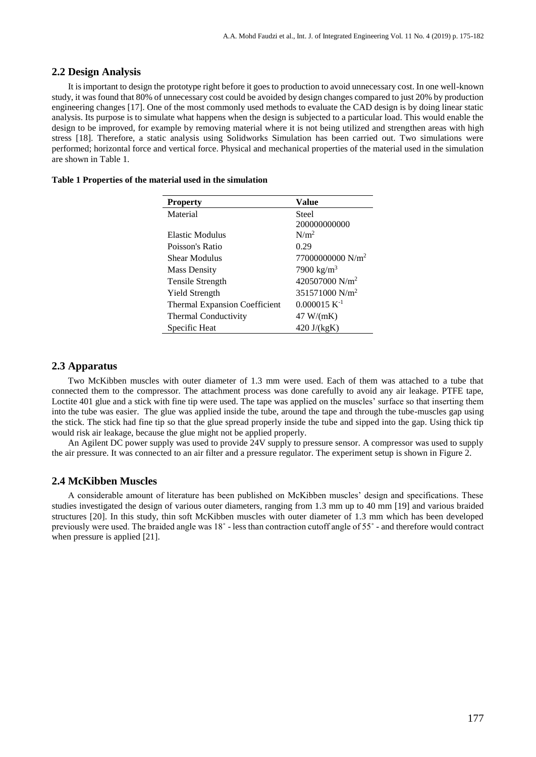## **2.2 Design Analysis**

It is important to design the prototype right before it goes to production to avoid unnecessary cost. In one well-known study, it was found that 80% of unnecessary cost could be avoided by design changes compared to just 20% by production engineering changes [17]. One of the most commonly used methods to evaluate the CAD design is by doing linear static analysis. Its purpose is to simulate what happens when the design is subjected to a particular load. This would enable the design to be improved, for example by removing material where it is not being utilized and strengthen areas with high stress [18]. Therefore, a static analysis using Solidworks Simulation has been carried out. Two simulations were performed; horizontal force and vertical force. Physical and mechanical properties of the material used in the simulation are shown in Table 1.

#### **Table 1 Properties of the material used in the simulation**

| <b>Property</b>                      | Value                        |
|--------------------------------------|------------------------------|
| Material                             | Steel                        |
|                                      | 200000000000                 |
| Elastic Modulus                      | N/m <sup>2</sup>             |
| Poisson's Ratio                      | 0.29                         |
| Shear Modulus                        | 77000000000 N/m <sup>2</sup> |
| <b>Mass Density</b>                  | 7900 kg/m <sup>3</sup>       |
| Tensile Strength                     | 420507000 N/m <sup>2</sup>   |
| <b>Yield Strength</b>                | 351571000 N/m <sup>2</sup>   |
| <b>Thermal Expansion Coefficient</b> | $0.000015$ K <sup>-1</sup>   |
| Thermal Conductivity                 | 47 W/(mK)                    |
| Specific Heat                        | $420 \text{ J/(kgK)}$        |

# **2.3 Apparatus**

Two McKibben muscles with outer diameter of 1.3 mm were used. Each of them was attached to a tube that connected them to the compressor. The attachment process was done carefully to avoid any air leakage. PTFE tape, Loctite 401 glue and a stick with fine tip were used. The tape was applied on the muscles' surface so that inserting them into the tube was easier. The glue was applied inside the tube, around the tape and through the tube-muscles gap using the stick. The stick had fine tip so that the glue spread properly inside the tube and sipped into the gap. Using thick tip would risk air leakage, because the glue might not be applied properly.

An Agilent DC power supply was used to provide 24V supply to pressure sensor. A compressor was used to supply the air pressure. It was connected to an air filter and a pressure regulator. The experiment setup is shown in Figure 2.

# **2.4 McKibben Muscles**

A considerable amount of literature has been published on McKibben muscles' design and specifications. These studies investigated the design of various outer diameters, ranging from 1.3 mm up to 40 mm [19] and various braided structures [20]. In this study, thin soft McKibben muscles with outer diameter of 1.3 mm which has been developed previously were used. The braided angle was 18˚ - less than contraction cutoff angle of 55˚ - and therefore would contract when pressure is applied [21].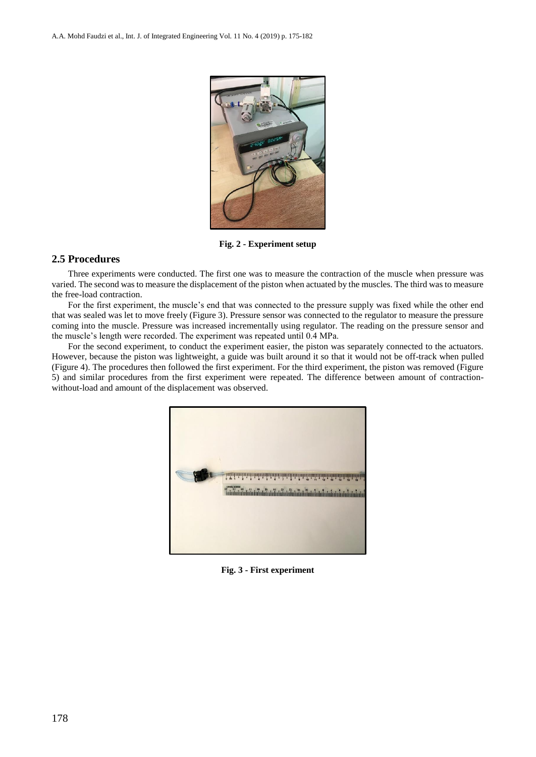

**Fig. 2 - Experiment setup**

# **2.5 Procedures**

Three experiments were conducted. The first one was to measure the contraction of the muscle when pressure was varied. The second was to measure the displacement of the piston when actuated by the muscles. The third was to measure the free-load contraction.

For the first experiment, the muscle's end that was connected to the pressure supply was fixed while the other end that was sealed was let to move freely (Figure 3). Pressure sensor was connected to the regulator to measure the pressure coming into the muscle. Pressure was increased incrementally using regulator. The reading on the pressure sensor and the muscle's length were recorded. The experiment was repeated until 0.4 MPa.

For the second experiment, to conduct the experiment easier, the piston was separately connected to the actuators. However, because the piston was lightweight, a guide was built around it so that it would not be off-track when pulled (Figure 4). The procedures then followed the first experiment. For the third experiment, the piston was removed (Figure 5) and similar procedures from the first experiment were repeated. The difference between amount of contractionwithout-load and amount of the displacement was observed.



**Fig. 3 - First experiment**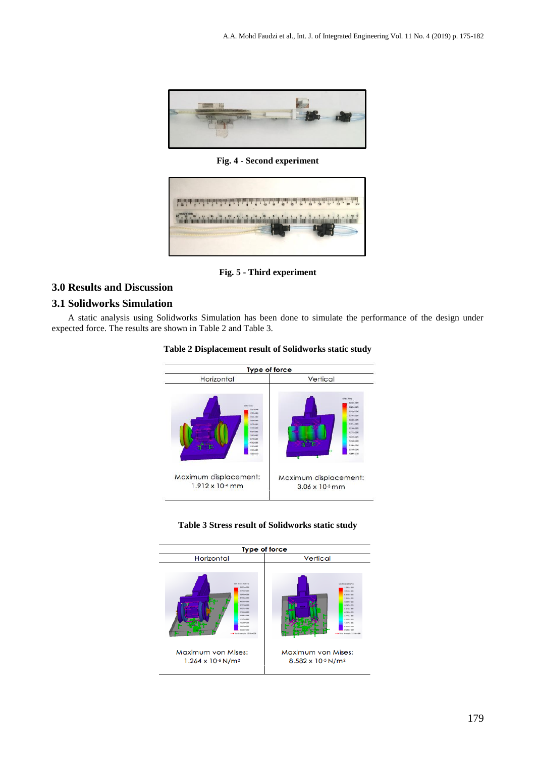

**Fig. 4 - Second experiment**



**Fig. 5 - Third experiment**

# **3.0 Results and Discussion**

# **3.1 Solidworks Simulation**

A static analysis using Solidworks Simulation has been done to simulate the performance of the design under expected force. The results are shown in Table 2 and Table 3.



|  |  | Table 3 Stress result of Solidworks static study |  |
|--|--|--------------------------------------------------|--|
|  |  |                                                  |  |

Maximum displacement:

3.06 x 10-5 mm

Maximum displacement:

1.912 x 10-4 mm

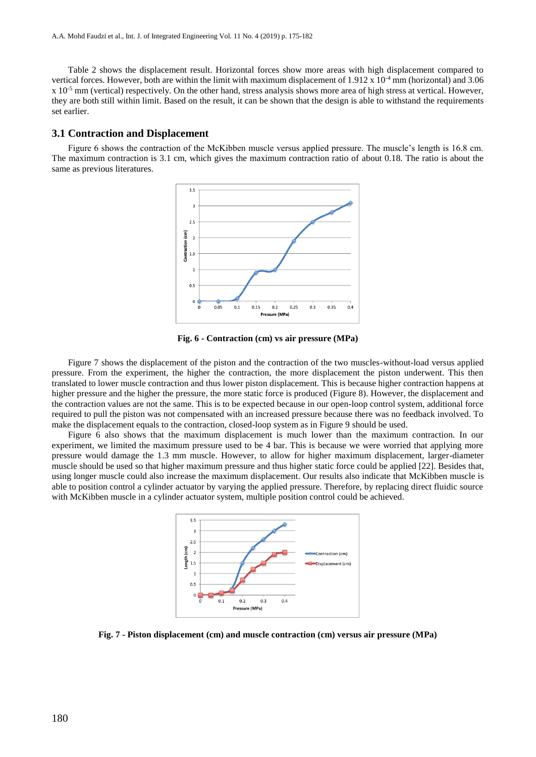Table 2 shows the displacement result. Horizontal forces show more areas with high displacement compared to vertical forces. However, both are within the limit with maximum displacement of  $1.912 \times 10^{-4}$  mm (horizontal) and 3.06  $x$  10<sup>-5</sup> mm (vertical) respectively. On the other hand, stress analysis shows more area of high stress at vertical. However, they are both still within limit. Based on the result, it can be shown that the design is able to withstand the requirements set earlier.

#### **3.1 Contraction and Displacement**

Figure 6 shows the contraction of the McKibben muscle versus applied pressure. The muscle's length is 16.8 cm. The maximum contraction is 3.1 cm, which gives the maximum contraction ratio of about 0.18. The ratio is about the same as previous literatures.



**Fig. 6 - Contraction (cm) vs air pressure (MPa)**

Figure 7 shows the displacement of the piston and the contraction of the two muscles-without-load versus applied pressure. From the experiment, the higher the contraction, the more displacement the piston underwent. This then translated to lower muscle contraction and thus lower piston displacement. This is because higher contraction happens at higher pressure and the higher the pressure, the more static force is produced (Figure 8). However, the displacement and the contraction values are not the same. This is to be expected because in our open-loop control system, additional force required to pull the piston was not compensated with an increased pressure because there was no feedback involved. To make the displacement equals to the contraction, closed-loop system as in Figure 9 should be used.

Figure 6 also shows that the maximum displacement is much lower than the maximum contraction. In our experiment, we limited the maximum pressure used to be 4 bar. This is because we were worried that applying more pressure would damage the 1.3 mm muscle. However, to allow for higher maximum displacement, larger-diameter muscle should be used so that higher maximum pressure and thus higher static force could be applied [22]. Besides that, using longer muscle could also increase the maximum displacement. Our results also indicate that McKibben muscle is able to position control a cylinder actuator by varying the applied pressure. Therefore, by replacing direct fluidic source with McKibben muscle in a cylinder actuator system, multiple position control could be achieved.



**Fig. 7 - Piston displacement (cm) and muscle contraction (cm) versus air pressure (MPa)**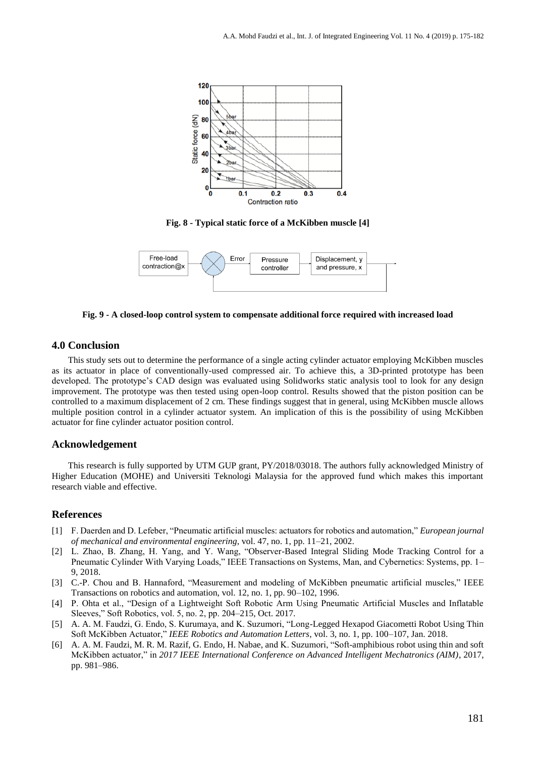

**Fig. 8 - Typical static force of a McKibben muscle [4]**



**Fig. 9 - A closed-loop control system to compensate additional force required with increased load**

### **4.0 Conclusion**

This study sets out to determine the performance of a single acting cylinder actuator employing McKibben muscles as its actuator in place of conventionally-used compressed air. To achieve this, a 3D-printed prototype has been developed. The prototype's CAD design was evaluated using Solidworks static analysis tool to look for any design improvement. The prototype was then tested using open-loop control. Results showed that the piston position can be controlled to a maximum displacement of 2 cm. These findings suggest that in general, using McKibben muscle allows multiple position control in a cylinder actuator system. An implication of this is the possibility of using McKibben actuator for fine cylinder actuator position control.

# **Acknowledgement**

This research is fully supported by UTM GUP grant, PY/2018/03018. The authors fully acknowledged Ministry of Higher Education (MOHE) and Universiti Teknologi Malaysia for the approved fund which makes this important research viable and effective.

#### **References**

- [1] F. Daerden and D. Lefeber, "Pneumatic artificial muscles: actuators for robotics and automation," *European journal of mechanical and environmental engineering*, vol. 47, no. 1, pp. 11–21, 2002.
- [2] L. Zhao, B. Zhang, H. Yang, and Y. Wang, "Observer-Based Integral Sliding Mode Tracking Control for a Pneumatic Cylinder With Varying Loads," IEEE Transactions on Systems, Man, and Cybernetics: Systems, pp. 1– 9, 2018.
- [3] C.-P. Chou and B. Hannaford, "Measurement and modeling of McKibben pneumatic artificial muscles," IEEE Transactions on robotics and automation, vol. 12, no. 1, pp. 90–102, 1996.
- [4] P. Ohta et al., "Design of a Lightweight Soft Robotic Arm Using Pneumatic Artificial Muscles and Inflatable Sleeves," Soft Robotics, vol. 5, no. 2, pp. 204–215, Oct. 2017.
- [5] A. A. M. Faudzi, G. Endo, S. Kurumaya, and K. Suzumori, "Long-Legged Hexapod Giacometti Robot Using Thin Soft McKibben Actuator," *IEEE Robotics and Automation Letters*, vol. 3, no. 1, pp. 100–107, Jan. 2018.
- [6] A. A. M. Faudzi, M. R. M. Razif, G. Endo, H. Nabae, and K. Suzumori, "Soft-amphibious robot using thin and soft McKibben actuator," in *2017 IEEE International Conference on Advanced Intelligent Mechatronics (AIM)*, 2017, pp. 981–986.